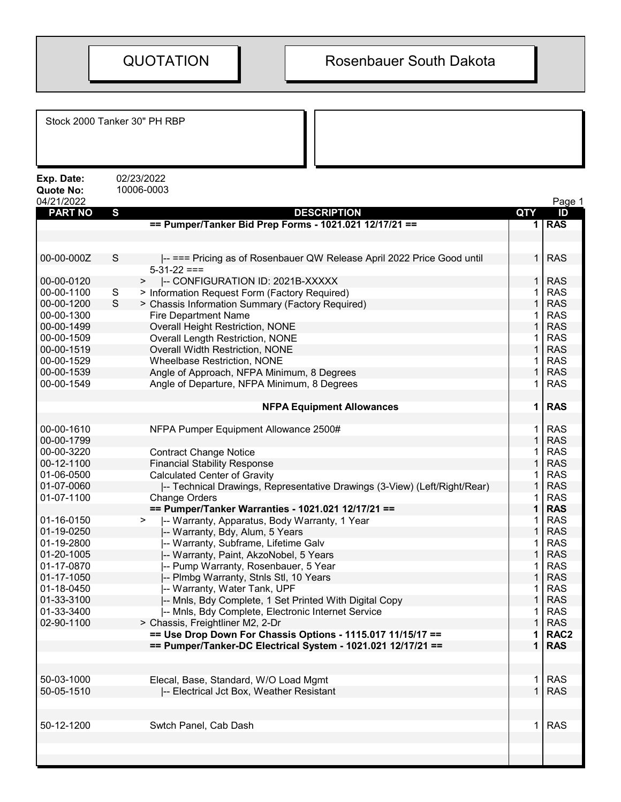| Stock 2000 Tanker 30" PH RBP                 |             |                                                                           |             |                  |
|----------------------------------------------|-------------|---------------------------------------------------------------------------|-------------|------------------|
| Exp. Date:<br><b>Quote No:</b><br>04/21/2022 |             | 02/23/2022<br>10006-0003                                                  |             | Page 1           |
| <b>PART NO</b>                               | S           | <b>DESCRIPTION</b>                                                        | QTY         | ID               |
|                                              |             | == Pumper/Tanker Bid Prep Forms - 1021.021 12/17/21 ==                    | 1 I         | <b>RAS</b>       |
|                                              |             |                                                                           |             |                  |
|                                              |             |                                                                           |             |                  |
| 00-00-000Z                                   | $\mathbf S$ | -- === Pricing as of Rosenbauer QW Release April 2022 Price Good until    | $\mathbf 1$ | <b>RAS</b>       |
|                                              |             | $5-31-22 ==$                                                              |             |                  |
| 00-00-0120                                   |             | -- CONFIGURATION ID: 2021B-XXXXX<br>>                                     | 1           | <b>RAS</b>       |
| 00-00-1100                                   | S<br>S      | > Information Request Form (Factory Required)                             |             | <b>RAS</b>       |
| 00-00-1200                                   |             | > Chassis Information Summary (Factory Required)                          |             | <b>RAS</b>       |
| 00-00-1300                                   |             | <b>Fire Department Name</b>                                               |             | <b>RAS</b>       |
| 00-00-1499                                   |             | <b>Overall Height Restriction, NONE</b>                                   |             | <b>RAS</b>       |
| 00-00-1509                                   |             | <b>Overall Length Restriction, NONE</b>                                   |             | <b>RAS</b>       |
| 00-00-1519<br>00-00-1529                     |             | Overall Width Restriction, NONE                                           |             | <b>RAS</b>       |
|                                              |             | <b>Wheelbase Restriction, NONE</b>                                        |             | <b>RAS</b>       |
| 00-00-1539                                   |             | Angle of Approach, NFPA Minimum, 8 Degrees                                |             | <b>RAS</b>       |
| 00-00-1549                                   |             | Angle of Departure, NFPA Minimum, 8 Degrees                               |             | <b>RAS</b>       |
|                                              |             |                                                                           |             | <b>RAS</b>       |
|                                              |             | <b>NFPA Equipment Allowances</b>                                          | 1           |                  |
| 00-00-1610                                   |             |                                                                           |             | <b>RAS</b>       |
| 00-00-1799                                   |             | NFPA Pumper Equipment Allowance 2500#                                     |             | <b>RAS</b>       |
| 00-00-3220                                   |             | <b>Contract Change Notice</b>                                             |             | <b>RAS</b>       |
| 00-12-1100                                   |             | <b>Financial Stability Response</b>                                       |             | <b>RAS</b>       |
| 01-06-0500                                   |             | <b>Calculated Center of Gravity</b>                                       |             | <b>RAS</b>       |
| 01-07-0060                                   |             | -- Technical Drawings, Representative Drawings (3-View) (Left/Right/Rear) |             | <b>RAS</b>       |
| 01-07-1100                                   |             | <b>Change Orders</b>                                                      |             | <b>RAS</b>       |
|                                              |             | == Pumper/Tanker Warranties - 1021.021 12/17/21 ==                        |             | <b>RAS</b>       |
| 01-16-0150                                   |             | -- Warranty, Apparatus, Body Warranty, 1 Year<br>➤                        |             | <b>RAS</b>       |
| 01-19-0250                                   |             | -- Warranty, Bdy, Alum, 5 Years                                           |             | <b>RAS</b>       |
| 01-19-2800                                   |             | -- Warranty, Subframe, Lifetime Galv                                      |             | <b>RAS</b>       |
| 01-20-1005                                   |             | -- Warranty, Paint, AkzoNobel, 5 Years                                    |             | <b>RAS</b>       |
| 01-17-0870                                   |             | -- Pump Warranty, Rosenbauer, 5 Year                                      | 1           | <b>RAS</b>       |
| 01-17-1050                                   |             | -- Plmbg Warranty, Stnls Stl, 10 Years                                    |             | <b>RAS</b>       |
| 01-18-0450                                   |             | -- Warranty, Water Tank, UPF                                              |             | <b>RAS</b>       |
| 01-33-3100                                   |             | -- Mnls, Bdy Complete, 1 Set Printed With Digital Copy                    |             | <b>RAS</b>       |
| 01-33-3400                                   |             | -- Mnls, Bdy Complete, Electronic Internet Service                        |             | <b>RAS</b>       |
| 02-90-1100                                   |             | > Chassis, Freightliner M2, 2-Dr                                          |             | <b>RAS</b>       |
|                                              |             | == Use Drop Down For Chassis Options - 1115.017 11/15/17 ==               |             | RAC <sub>2</sub> |
|                                              |             | == Pumper/Tanker-DC Electrical System - 1021.021 12/17/21 ==              |             | <b>RAS</b>       |
|                                              |             |                                                                           |             |                  |
|                                              |             |                                                                           |             |                  |
| 50-03-1000                                   |             | Elecal, Base, Standard, W/O Load Mgmt                                     |             | <b>RAS</b>       |
| 50-05-1510                                   |             | -- Electrical Jct Box, Weather Resistant                                  |             | <b>RAS</b>       |
|                                              |             |                                                                           |             |                  |
|                                              |             |                                                                           |             |                  |
| 50-12-1200                                   |             | Swtch Panel, Cab Dash                                                     |             | <b>RAS</b>       |
|                                              |             |                                                                           |             |                  |
|                                              |             |                                                                           |             |                  |
|                                              |             |                                                                           |             |                  |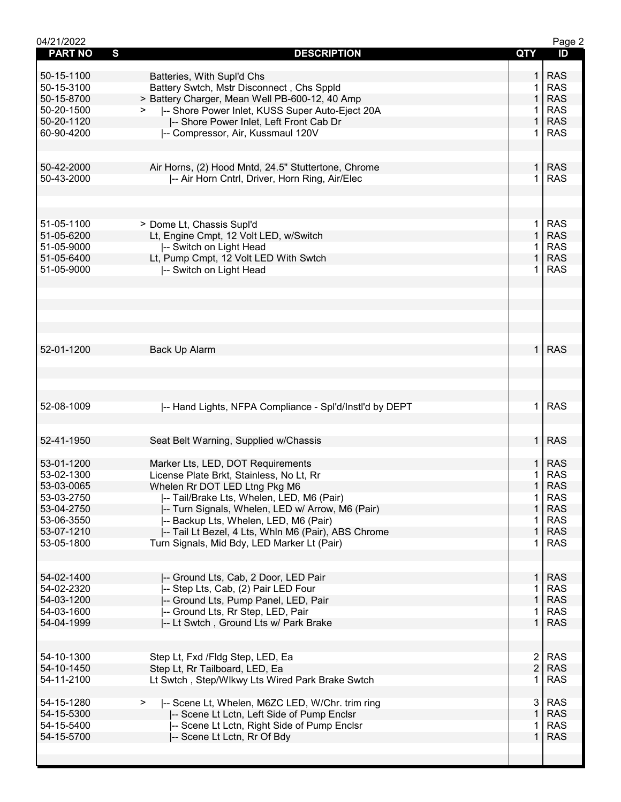| 04/21/2022                     |                                                           |                | Page 2     |
|--------------------------------|-----------------------------------------------------------|----------------|------------|
| $\mathbf{s}$<br><b>PART NO</b> | <b>DESCRIPTION</b>                                        | QTY            | ID         |
|                                |                                                           |                |            |
| 50-15-1100                     | Batteries, With Supl'd Chs                                | $\mathbf{1}$   | <b>RAS</b> |
| 50-15-3100                     | Battery Swtch, Mstr Disconnect, Chs Sppld                 | 1              | <b>RAS</b> |
| 50-15-8700                     | > Battery Charger, Mean Well PB-600-12, 40 Amp            | 1              | <b>RAS</b> |
| 50-20-1500                     | -- Shore Power Inlet, KUSS Super Auto-Eject 20A           |                | <b>RAS</b> |
| 50-20-1120                     | -- Shore Power Inlet, Left Front Cab Dr                   | 1              | <b>RAS</b> |
| 60-90-4200                     | -- Compressor, Air, Kussmaul 120V                         | 1              | <b>RAS</b> |
|                                |                                                           |                |            |
|                                |                                                           |                |            |
| 50-42-2000                     | Air Horns, (2) Hood Mntd, 24.5" Stuttertone, Chrome       | 1 <sup>1</sup> | <b>RAS</b> |
| 50-43-2000                     | I-- Air Horn Cntrl, Driver, Horn Ring, Air/Elec           | 1              | <b>RAS</b> |
|                                |                                                           |                |            |
|                                |                                                           |                |            |
|                                |                                                           |                |            |
| 51-05-1100                     | > Dome Lt, Chassis Supl'd                                 | 1 <sup>1</sup> | <b>RAS</b> |
| 51-05-6200                     | Lt, Engine Cmpt, 12 Volt LED, w/Switch                    | $\mathbf{1}$   | <b>RAS</b> |
| 51-05-9000                     | -- Switch on Light Head                                   | 1              | <b>RAS</b> |
| 51-05-6400                     | Lt, Pump Cmpt, 12 Volt LED With Swtch                     | $\mathbf{1}$   | <b>RAS</b> |
| 51-05-9000                     | -- Switch on Light Head                                   | 1.             | <b>RAS</b> |
|                                |                                                           |                |            |
|                                |                                                           |                |            |
|                                |                                                           |                |            |
|                                |                                                           |                |            |
|                                |                                                           |                |            |
|                                |                                                           |                |            |
| 52-01-1200                     | Back Up Alarm                                             | 1 <sup>1</sup> | <b>RAS</b> |
|                                |                                                           |                |            |
|                                |                                                           |                |            |
|                                |                                                           |                |            |
|                                |                                                           |                |            |
| 52-08-1009                     | -- Hand Lights, NFPA Compliance - Spl'd/Instl'd by DEPT   | $\mathbf{1}$   | <b>RAS</b> |
|                                |                                                           |                |            |
|                                |                                                           |                |            |
| 52-41-1950                     | Seat Belt Warning, Supplied w/Chassis                     | 1 <sup>1</sup> | <b>RAS</b> |
|                                |                                                           |                |            |
| 53-01-1200                     | Marker Lts, LED, DOT Requirements                         | $\mathbf 1$    | <b>RAS</b> |
| 53-02-1300                     | License Plate Brkt, Stainless, No Lt, Rr                  | 1              | <b>RAS</b> |
|                                |                                                           | $\mathbf 1$    |            |
| 53-03-0065                     | Whelen Rr DOT LED Ltng Pkg M6                             |                | <b>RAS</b> |
| 53-03-2750                     | I-- Tail/Brake Lts, Whelen, LED, M6 (Pair)                | $\mathbf{1}$   | <b>RAS</b> |
| 53-04-2750                     | -- Turn Signals, Whelen, LED w/ Arrow, M6 (Pair)          | $\mathbf 1$    | <b>RAS</b> |
| 53-06-3550                     | -- Backup Lts, Whelen, LED, M6 (Pair)                     | 1              | <b>RAS</b> |
| 53-07-1210                     | -- Tail Lt Bezel, 4 Lts, Whln M6 (Pair), ABS Chrome       | $\mathbf{1}$   | <b>RAS</b> |
| 53-05-1800                     | Turn Signals, Mid Bdy, LED Marker Lt (Pair)               | $\mathbf 1$    | <b>RAS</b> |
|                                |                                                           |                |            |
|                                |                                                           |                |            |
| 54-02-1400                     | -- Ground Lts, Cab, 2 Door, LED Pair                      | 1 I            | <b>RAS</b> |
| 54-02-2320                     | -- Step Lts, Cab, (2) Pair LED Four                       | $\overline{1}$ | <b>RAS</b> |
| 54-03-1200                     | -- Ground Lts, Pump Panel, LED, Pair                      | 1              | <b>RAS</b> |
| 54-03-1600                     | -- Ground Lts, Rr Step, LED, Pair                         | 1.             | <b>RAS</b> |
| 54-04-1999                     | -- Lt Swtch, Ground Lts w/ Park Brake                     | $\mathbf{1}$   | <b>RAS</b> |
|                                |                                                           |                |            |
|                                |                                                           |                |            |
| 54-10-1300                     | Step Lt, Fxd /Fldg Step, LED, Ea                          | $\mathbf{2}$   | <b>RAS</b> |
| 54-10-1450                     | Step Lt, Rr Tailboard, LED, Ea                            | $\overline{2}$ | <b>RAS</b> |
| 54-11-2100                     | Lt Swtch, Step/Wlkwy Lts Wired Park Brake Swtch           | 1              | <b>RAS</b> |
|                                |                                                           |                |            |
| 54-15-1280                     | -- Scene Lt, Whelen, M6ZC LED, W/Chr. trim ring<br>$\geq$ | 3              | <b>RAS</b> |
| 54-15-5300                     | -- Scene Lt Lctn, Left Side of Pump Enclsr                | $\mathbf{1}$   | <b>RAS</b> |
| 54-15-5400                     | -- Scene Lt Lctn, Right Side of Pump Enclsr               | 1              | <b>RAS</b> |
| 54-15-5700                     | -- Scene Lt Lctn, Rr Of Bdy                               | 1              | <b>RAS</b> |
|                                |                                                           |                |            |
|                                |                                                           |                |            |
|                                |                                                           |                |            |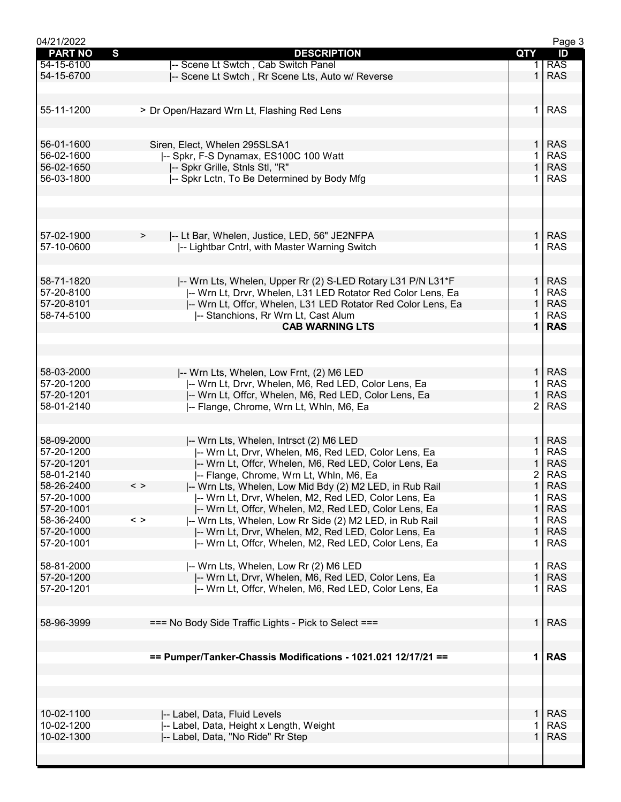| 04/21/2022     |                                                                          |                | Page 3     |
|----------------|--------------------------------------------------------------------------|----------------|------------|
| <b>PART NO</b> | $\mathbf{s}$<br><b>DESCRIPTION</b>                                       | QTY            | ID         |
| 54-15-6100     | -- Scene Lt Swtch, Cab Switch Panel                                      |                | <b>RAS</b> |
| 54-15-6700     | -- Scene Lt Swtch, Rr Scene Lts, Auto w/ Reverse                         | 1              | <b>RAS</b> |
|                |                                                                          |                |            |
|                |                                                                          |                |            |
| 55-11-1200     | > Dr Open/Hazard Wrn Lt, Flashing Red Lens                               | 1              | <b>RAS</b> |
|                |                                                                          |                |            |
|                |                                                                          |                |            |
|                |                                                                          | $\mathbf{1}$   | <b>RAS</b> |
| 56-01-1600     | Siren, Elect, Whelen 295SLSA1                                            |                |            |
| 56-02-1600     | I-- Spkr, F-S Dynamax, ES100C 100 Watt                                   | 1              | <b>RAS</b> |
| 56-02-1650     | -- Spkr Grille, Stnls Stl, "R"                                           | $\mathbf{1}$   | <b>RAS</b> |
| 56-03-1800     | -- Spkr Lctn, To Be Determined by Body Mfg                               | 1              | <b>RAS</b> |
|                |                                                                          |                |            |
|                |                                                                          |                |            |
|                |                                                                          |                |            |
|                |                                                                          |                |            |
| 57-02-1900     | I-- Lt Bar, Whelen, Justice, LED, 56" JE2NFPA<br>$\, > \,$               | 1 <sup>1</sup> | <b>RAS</b> |
| 57-10-0600     | -- Lightbar Cntrl, with Master Warning Switch                            | 1              | <b>RAS</b> |
|                |                                                                          |                |            |
|                |                                                                          |                |            |
|                |                                                                          |                |            |
| 58-71-1820     | -- Wrn Lts, Whelen, Upper Rr (2) S-LED Rotary L31 P/N L31*F              | $\mathbf{1}$   | <b>RAS</b> |
| 57-20-8100     | -- Wrn Lt, Drvr, Whelen, L31 LED Rotator Red Color Lens, Ea              | 1              | <b>RAS</b> |
| 57-20-8101     | -- Wrn Lt, Offcr, Whelen, L31 LED Rotator Red Color Lens, Ea             | 1              | <b>RAS</b> |
| 58-74-5100     | -- Stanchions, Rr Wrn Lt, Cast Alum                                      |                | <b>RAS</b> |
|                | <b>CAB WARNING LTS</b>                                                   | $\mathbf{1}$   | <b>RAS</b> |
|                |                                                                          |                |            |
|                |                                                                          |                |            |
|                |                                                                          |                |            |
| 58-03-2000     | -- Wrn Lts, Whelen, Low Frnt, (2) M6 LED                                 | $\mathbf{1}$   | <b>RAS</b> |
| 57-20-1200     | I-- Wrn Lt, Drvr, Whelen, M6, Red LED, Color Lens, Ea                    | 1              | <b>RAS</b> |
|                |                                                                          |                |            |
| 57-20-1201     | -- Wrn Lt, Offcr, Whelen, M6, Red LED, Color Lens, Ea                    | $\mathbf{1}$   | <b>RAS</b> |
| 58-01-2140     | -- Flange, Chrome, Wrn Lt, Whln, M6, Ea                                  | $\overline{2}$ | <b>RAS</b> |
|                |                                                                          |                |            |
|                |                                                                          |                |            |
| 58-09-2000     | I-- Wrn Lts, Whelen, Intrsct (2) M6 LED                                  | $\mathbf{1}$   | <b>RAS</b> |
| 57-20-1200     | I-- Wrn Lt, Drvr, Whelen, M6, Red LED, Color Lens, Ea                    |                | <b>RAS</b> |
| 57-20-1201     | -- Wrn Lt, Offcr, Whelen, M6, Red LED, Color Lens, Ea                    | 1              | <b>RAS</b> |
| 58-01-2140     | -- Flange, Chrome, Wrn Lt, Whln, M6, Ea                                  | 2              | <b>RAS</b> |
| 58-26-2400     | -- Wrn Lts, Whelen, Low Mid Bdy (2) M2 LED, in Rub Rail<br>$\langle$ $>$ | $\mathbf{1}$   | <b>RAS</b> |
| 57-20-1000     | -- Wrn Lt, Drvr, Whelen, M2, Red LED, Color Lens, Ea                     | 1              | <b>RAS</b> |
|                |                                                                          | $\mathbf 1$    |            |
| 57-20-1001     | -- Wrn Lt, Offcr, Whelen, M2, Red LED, Color Lens, Ea                    |                | <b>RAS</b> |
| 58-36-2400     | -- Wrn Lts, Whelen, Low Rr Side (2) M2 LED, in Rub Rail<br>$\langle$ >   | 1              | <b>RAS</b> |
| 57-20-1000     | -- Wrn Lt, Drvr, Whelen, M2, Red LED, Color Lens, Ea                     | 1              | <b>RAS</b> |
| 57-20-1001     | -- Wrn Lt, Offcr, Whelen, M2, Red LED, Color Lens, Ea                    | 1              | <b>RAS</b> |
|                |                                                                          |                |            |
| 58-81-2000     | -- Wrn Lts, Whelen, Low Rr (2) M6 LED                                    | 1.             | <b>RAS</b> |
| 57-20-1200     | -- Wrn Lt, Drvr, Whelen, M6, Red LED, Color Lens, Ea                     | $\mathbf{1}$   | <b>RAS</b> |
| 57-20-1201     | I-- Wrn Lt, Offcr, Whelen, M6, Red LED, Color Lens, Ea                   | 1              | <b>RAS</b> |
|                |                                                                          |                |            |
|                |                                                                          |                |            |
| 58-96-3999     |                                                                          | $\mathbf{1}$   | <b>RAS</b> |
|                | === No Body Side Traffic Lights - Pick to Select ===                     |                |            |
|                |                                                                          |                |            |
|                |                                                                          |                |            |
|                | == Pumper/Tanker-Chassis Modifications - 1021.021 12/17/21 ==            |                | 1 RAS      |
|                |                                                                          |                |            |
|                |                                                                          |                |            |
|                |                                                                          |                |            |
|                |                                                                          |                |            |
| 10-02-1100     | -- Label, Data, Fluid Levels                                             | 1.             | <b>RAS</b> |
| 10-02-1200     | -- Label, Data, Height x Length, Weight                                  |                | <b>RAS</b> |
|                |                                                                          | 1              |            |
| 10-02-1300     | -- Label, Data, "No Ride" Rr Step                                        |                | <b>RAS</b> |
|                |                                                                          |                |            |
|                |                                                                          |                |            |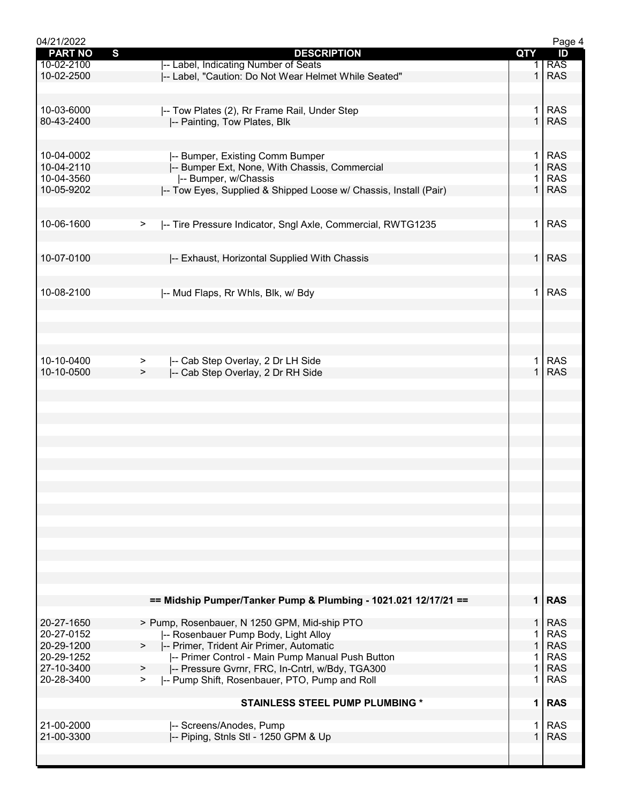| 04/21/2022     |                                                                       |              | Page 4     |
|----------------|-----------------------------------------------------------------------|--------------|------------|
| <b>PART NO</b> | S<br><b>DESCRIPTION</b>                                               | QTY          | ID         |
| 10-02-2100     | -- Label, Indicating Number of Seats                                  |              | <b>RAS</b> |
| 10-02-2500     | I-- Label, "Caution: Do Not Wear Helmet While Seated"                 | $\mathbf 1$  | <b>RAS</b> |
|                |                                                                       |              |            |
|                |                                                                       |              |            |
| 10-03-6000     | -- Tow Plates (2), Rr Frame Rail, Under Step                          | 1.           | <b>RAS</b> |
| 80-43-2400     | -- Painting, Tow Plates, Blk                                          | $\mathbf{1}$ | <b>RAS</b> |
|                |                                                                       |              |            |
|                |                                                                       |              |            |
|                |                                                                       |              |            |
| 10-04-0002     | -- Bumper, Existing Comm Bumper                                       | 1.           | <b>RAS</b> |
| 10-04-2110     | -- Bumper Ext, None, With Chassis, Commercial                         | $\mathbf{1}$ | <b>RAS</b> |
| 10-04-3560     | -- Bumper, w/Chassis                                                  |              | <b>RAS</b> |
| 10-05-9202     | -- Tow Eyes, Supplied & Shipped Loose w/ Chassis, Install (Pair)      |              | <b>RAS</b> |
|                |                                                                       |              |            |
|                |                                                                       |              |            |
| 10-06-1600     | -- Tire Pressure Indicator, Sngl Axle, Commercial, RWTG1235<br>$\geq$ | 1.           | <b>RAS</b> |
|                |                                                                       |              |            |
|                |                                                                       |              |            |
| 10-07-0100     | -- Exhaust, Horizontal Supplied With Chassis                          | $\mathbf{1}$ | <b>RAS</b> |
|                |                                                                       |              |            |
|                |                                                                       |              |            |
| 10-08-2100     | -- Mud Flaps, Rr Whls, Blk, w/ Bdy                                    | 1            | <b>RAS</b> |
|                |                                                                       |              |            |
|                |                                                                       |              |            |
|                |                                                                       |              |            |
|                |                                                                       |              |            |
|                |                                                                       |              |            |
| 10-10-0400     | -- Cab Step Overlay, 2 Dr LH Side                                     | 1            | <b>RAS</b> |
|                | >                                                                     |              |            |
| 10-10-0500     | -- Cab Step Overlay, 2 Dr RH Side<br>>                                |              | <b>RAS</b> |
|                |                                                                       |              |            |
|                |                                                                       |              |            |
|                |                                                                       |              |            |
|                |                                                                       |              |            |
|                |                                                                       |              |            |
|                |                                                                       |              |            |
|                |                                                                       |              |            |
|                |                                                                       |              |            |
|                |                                                                       |              |            |
|                |                                                                       |              |            |
|                |                                                                       |              |            |
|                |                                                                       |              |            |
|                |                                                                       |              |            |
|                |                                                                       |              |            |
|                |                                                                       |              |            |
|                |                                                                       |              |            |
|                |                                                                       |              |            |
|                |                                                                       |              |            |
|                |                                                                       |              |            |
|                |                                                                       |              |            |
|                | == Midship Pumper/Tanker Pump & Plumbing - 1021.021 12/17/21 ==       |              | $1$ RAS    |
|                |                                                                       |              |            |
| 20-27-1650     | > Pump, Rosenbauer, N 1250 GPM, Mid-ship PTO                          | 1.           | <b>RAS</b> |
| 20-27-0152     | -- Rosenbauer Pump Body, Light Alloy                                  |              | <b>RAS</b> |
| 20-29-1200     | -- Primer, Trident Air Primer, Automatic<br>>                         | $\mathbf{1}$ | <b>RAS</b> |
| 20-29-1252     | -- Primer Control - Main Pump Manual Push Button                      | 1            | <b>RAS</b> |
| 27-10-3400     | -- Pressure Gvrnr, FRC, In-Cntrl, w/Bdy, TGA300<br>$\geq$             | $\mathbf{1}$ | <b>RAS</b> |
| 20-28-3400     | -- Pump Shift, Rosenbauer, PTO, Pump and Roll<br>⋗                    | 1.           | <b>RAS</b> |
|                |                                                                       |              |            |
|                | <b>STAINLESS STEEL PUMP PLUMBING *</b>                                | $\mathbf 1$  | <b>RAS</b> |
|                |                                                                       |              |            |
| 21-00-2000     | -- Screens/Anodes, Pump                                               | 1            | <b>RAS</b> |
| 21-00-3300     |                                                                       | $\mathbf{1}$ | <b>RAS</b> |
|                | -- Piping, Stnls Stl - 1250 GPM & Up                                  |              |            |
|                |                                                                       |              |            |
|                |                                                                       |              |            |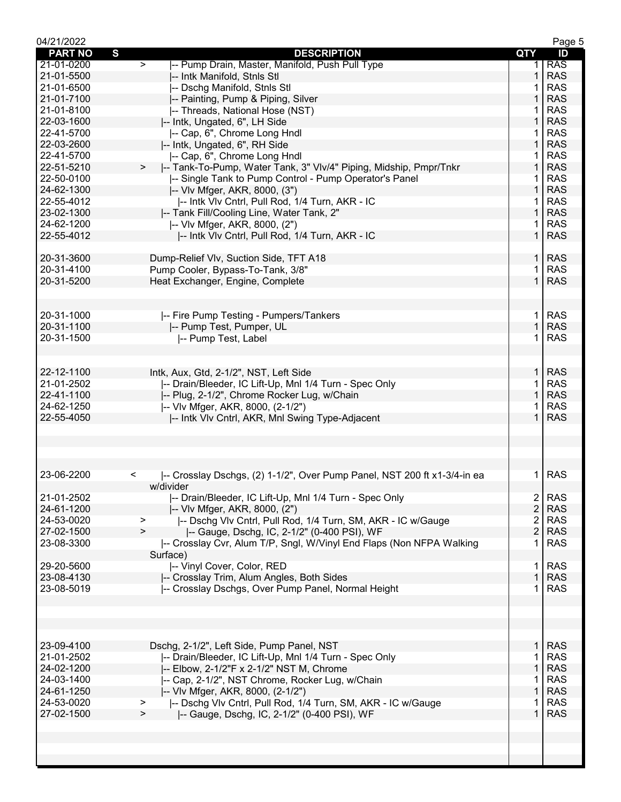| 04/21/2022     |                                                                                     |                | Page 5     |
|----------------|-------------------------------------------------------------------------------------|----------------|------------|
| <b>PART NO</b> | S<br><b>DESCRIPTION</b>                                                             | QTY            | ID         |
| 21-01-0200     | -- Pump Drain, Master, Manifold, Push Pull Type<br>$\geq$                           | 1.             | <b>RAS</b> |
| 21-01-5500     | -- Intk Manifold, Stnls Stl                                                         | 1              | <b>RAS</b> |
| 21-01-6500     | -- Dschg Manifold, Stnls Stl                                                        |                | <b>RAS</b> |
| 21-01-7100     | -- Painting, Pump & Piping, Silver                                                  | 1              | <b>RAS</b> |
| 21-01-8100     | -- Threads, National Hose (NST)                                                     | 1              | <b>RAS</b> |
| 22-03-1600     | -- Intk, Ungated, 6", LH Side                                                       | 1              | <b>RAS</b> |
| 22-41-5700     | -- Cap, 6", Chrome Long Hndl                                                        | 1.             | <b>RAS</b> |
| 22-03-2600     | -- Intk, Ungated, 6", RH Side                                                       | $\mathbf{1}$   | <b>RAS</b> |
| 22-41-5700     | -- Cap, 6", Chrome Long Hndl                                                        | 1              | <b>RAS</b> |
| 22-51-5210     | -- Tank-To-Pump, Water Tank, 3" Vlv/4" Piping, Midship, Pmpr/Tnkr<br>>              | 1              | <b>RAS</b> |
| 22-50-0100     | -- Single Tank to Pump Control - Pump Operator's Panel                              | 1              | <b>RAS</b> |
|                |                                                                                     | 1              |            |
| 24-62-1300     | -- VIv Mfger, AKR, 8000, (3")                                                       |                | <b>RAS</b> |
| 22-55-4012     | -- Intk VIv Cntrl, Pull Rod, 1/4 Turn, AKR - IC                                     | 1              | <b>RAS</b> |
| 23-02-1300     | -- Tank Fill/Cooling Line, Water Tank, 2"                                           | $\mathbf{1}$   | <b>RAS</b> |
| 24-62-1200     | -- VIv Mfger, AKR, 8000, (2")                                                       | 1.             | <b>RAS</b> |
| 22-55-4012     | -- Intk VIv Cntrl, Pull Rod, 1/4 Turn, AKR - IC                                     | $\mathbf{1}$   | <b>RAS</b> |
|                |                                                                                     |                |            |
| 20-31-3600     | Dump-Relief Vlv, Suction Side, TFT A18                                              | $\mathbf{1}$   | <b>RAS</b> |
| 20-31-4100     | Pump Cooler, Bypass-To-Tank, 3/8"                                                   |                | <b>RAS</b> |
| 20-31-5200     | Heat Exchanger, Engine, Complete                                                    | 1              | <b>RAS</b> |
|                |                                                                                     |                |            |
|                |                                                                                     |                |            |
| 20-31-1000     | -- Fire Pump Testing - Pumpers/Tankers                                              | $\mathbf 1$    | <b>RAS</b> |
| 20-31-1100     | -- Pump Test, Pumper, UL                                                            | $\mathbf{1}$   | <b>RAS</b> |
| 20-31-1500     | -- Pump Test, Label                                                                 | 1.             | <b>RAS</b> |
|                |                                                                                     |                |            |
|                |                                                                                     |                |            |
| 22-12-1100     |                                                                                     | 1.             | <b>RAS</b> |
|                | Intk, Aux, Gtd, 2-1/2", NST, Left Side                                              |                |            |
| 21-01-2502     | -- Drain/Bleeder, IC Lift-Up, Mnl 1/4 Turn - Spec Only                              | 1              | <b>RAS</b> |
| 22-41-1100     | -- Plug, 2-1/2", Chrome Rocker Lug, w/Chain                                         | $\mathbf{1}$   | <b>RAS</b> |
| 24-62-1250     | -- VIv Mfger, AKR, 8000, (2-1/2")                                                   | 1.             | <b>RAS</b> |
| 22-55-4050     | -- Intk VIv Cntrl, AKR, Mnl Swing Type-Adjacent                                     | $\mathbf{1}$   | <b>RAS</b> |
|                |                                                                                     |                |            |
|                |                                                                                     |                |            |
|                |                                                                                     |                |            |
|                |                                                                                     |                |            |
| 23-06-2200     | -- Crosslay Dschgs, (2) 1-1/2", Over Pump Panel, NST 200 ft x1-3/4-in ea<br>$\,<\,$ | 1.             | <b>RAS</b> |
|                | w/divider                                                                           |                |            |
| 21-01-2502     | -- Drain/Bleeder, IC Lift-Up, Mnl 1/4 Turn - Spec Only                              | $\overline{2}$ | <b>RAS</b> |
| 24-61-1200     | -- VIv Mfger, AKR, 8000, (2")                                                       | $\overline{c}$ | <b>RAS</b> |
| 24-53-0020     | -- Dschg VIv Cntrl, Pull Rod, 1/4 Turn, SM, AKR - IC w/Gauge<br>>                   | 2              | <b>RAS</b> |
| 27-02-1500     | $\geq$<br> -- Gauge, Dschg, IC, 2-1/2" (0-400 PSI), WF                              | $\overline{2}$ | <b>RAS</b> |
| 23-08-3300     | -- Crosslay Cvr, Alum T/P, Sngl, W/Vinyl End Flaps (Non NFPA Walking                | 1.             | <b>RAS</b> |
|                | Surface)                                                                            |                |            |
| 29-20-5600     | -- Vinyl Cover, Color, RED                                                          | $\mathbf{1}$   | <b>RAS</b> |
| 23-08-4130     | -- Crosslay Trim, Alum Angles, Both Sides                                           | $\mathbf{1}$   | <b>RAS</b> |
| 23-08-5019     | -- Crosslay Dschgs, Over Pump Panel, Normal Height                                  | 1.             | <b>RAS</b> |
|                |                                                                                     |                |            |
|                |                                                                                     |                |            |
|                |                                                                                     |                |            |
|                |                                                                                     |                |            |
|                |                                                                                     |                |            |
| 23-09-4100     | Dschg, 2-1/2", Left Side, Pump Panel, NST                                           | 1 <sup>1</sup> | <b>RAS</b> |
| 21-01-2502     | -- Drain/Bleeder, IC Lift-Up, Mnl 1/4 Turn - Spec Only                              | 1              | <b>RAS</b> |
| 24-02-1200     | -- Elbow, 2-1/2"F x 2-1/2" NST M, Chrome                                            | $\mathbf{1}$   | <b>RAS</b> |
| 24-03-1400     | -- Cap, 2-1/2", NST Chrome, Rocker Lug, w/Chain                                     | 1              | <b>RAS</b> |
| 24-61-1250     | -- VIv Mfger, AKR, 8000, (2-1/2")                                                   | $\mathbf{1}$   | <b>RAS</b> |
| 24-53-0020     | -- Dschg VIv Cntrl, Pull Rod, 1/4 Turn, SM, AKR - IC w/Gauge<br>>                   | 1              | <b>RAS</b> |
| 27-02-1500     | -- Gauge, Dschg, IC, 2-1/2" (0-400 PSI), WF<br>$\geq$                               | 1.             | <b>RAS</b> |
|                |                                                                                     |                |            |
|                |                                                                                     |                |            |
|                |                                                                                     |                |            |
|                |                                                                                     |                |            |
|                |                                                                                     |                |            |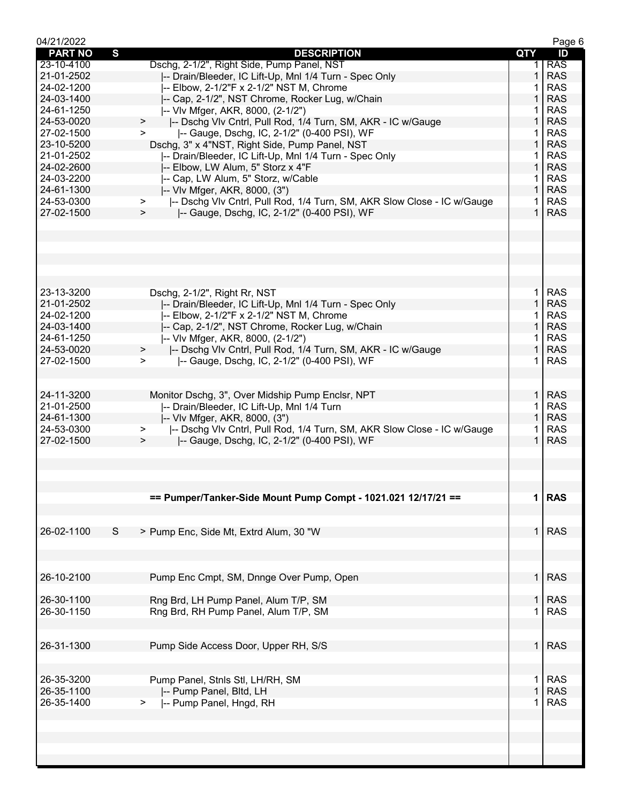| 04/21/2022     |                                                                                    |              | Page 6     |
|----------------|------------------------------------------------------------------------------------|--------------|------------|
| <b>PART NO</b> | S<br><b>DESCRIPTION</b>                                                            | QTY          | ID         |
| 23-10-4100     | Dschg, 2-1/2", Right Side, Pump Panel, NST                                         |              | <b>RAS</b> |
| 21-01-2502     | I-- Drain/Bleeder, IC Lift-Up, MnI 1/4 Turn - Spec Only                            | $\mathbf{1}$ | <b>RAS</b> |
| 24-02-1200     | -- Elbow, 2-1/2"F x 2-1/2" NST M, Chrome                                           |              | <b>RAS</b> |
| 24-03-1400     | -- Cap, 2-1/2", NST Chrome, Rocker Lug, w/Chain                                    | 1            | <b>RAS</b> |
| 24-61-1250     | -- VIv Mfger, AKR, 8000, (2-1/2")                                                  |              | <b>RAS</b> |
| 24-53-0020     | -- Dschg VIv Cntrl, Pull Rod, 1/4 Turn, SM, AKR - IC w/Gauge<br>$\geq$             | 1            | <b>RAS</b> |
| 27-02-1500     | -- Gauge, Dschg, IC, 2-1/2" (0-400 PSI), WF<br>$\geq$                              | 1.           | <b>RAS</b> |
| 23-10-5200     | Dschg, 3" x 4"NST, Right Side, Pump Panel, NST                                     | $\mathbf{1}$ | <b>RAS</b> |
| 21-01-2502     | -- Drain/Bleeder, IC Lift-Up, Mnl 1/4 Turn - Spec Only                             | $\mathbf{1}$ | <b>RAS</b> |
| 24-02-2600     | -- Elbow, LW Alum, 5" Storz x 4"F                                                  | $\mathbf{1}$ | <b>RAS</b> |
| 24-03-2200     | -- Cap, LW Alum, 5" Storz, w/Cable                                                 | 1.           | <b>RAS</b> |
| 24-61-1300     | -- VIv Mfger, AKR, 8000, (3")                                                      | $\mathbf{1}$ | <b>RAS</b> |
| 24-53-0300     | I-- Dschg VIv Cntrl, Pull Rod, 1/4 Turn, SM, AKR Slow Close - IC w/Gauge<br>$\geq$ | 1.           | <b>RAS</b> |
| 27-02-1500     | -- Gauge, Dschg, IC, 2-1/2" (0-400 PSI), WF<br>>                                   | $\mathbf 1$  | <b>RAS</b> |
|                |                                                                                    |              |            |
|                |                                                                                    |              |            |
|                |                                                                                    |              |            |
|                |                                                                                    |              |            |
|                |                                                                                    |              |            |
|                |                                                                                    |              |            |
| 23-13-3200     | Dschg, 2-1/2", Right Rr, NST                                                       | 1.           | <b>RAS</b> |
| 21-01-2502     | -- Drain/Bleeder, IC Lift-Up, Mnl 1/4 Turn - Spec Only                             | $\mathbf{1}$ | <b>RAS</b> |
| 24-02-1200     | -- Elbow, 2-1/2"F x 2-1/2" NST M, Chrome                                           | $\mathbf{1}$ | <b>RAS</b> |
| 24-03-1400     | -- Cap, 2-1/2", NST Chrome, Rocker Lug, w/Chain                                    | $\mathbf{1}$ | <b>RAS</b> |
| 24-61-1250     | -- VIv Mfger, AKR, 8000, (2-1/2")                                                  | 1.           | <b>RAS</b> |
| 24-53-0020     | -- Dschg Vlv Cntrl, Pull Rod, 1/4 Turn, SM, AKR - IC w/Gauge<br>>                  | $\mathbf{1}$ | <b>RAS</b> |
| 27-02-1500     | -- Gauge, Dschg, IC, 2-1/2" (0-400 PSI), WF<br>➤                                   | 1.           | <b>RAS</b> |
|                |                                                                                    |              |            |
|                |                                                                                    |              |            |
| 24-11-3200     | Monitor Dschg, 3", Over Midship Pump Enclsr, NPT                                   |              | $1$ RAS    |
| 21-01-2500     | -- Drain/Bleeder, IC Lift-Up, Mnl 1/4 Turn                                         | $\mathbf 1$  | <b>RAS</b> |
| 24-61-1300     | -- VIv Mfger, AKR, 8000, (3")                                                      | $\mathbf{1}$ | <b>RAS</b> |
| 24-53-0300     | -- Dschg Vlv Cntrl, Pull Rod, 1/4 Turn, SM, AKR Slow Close - IC w/Gauge<br>>       | 1.           | <b>RAS</b> |
| 27-02-1500     | -- Gauge, Dschg, IC, 2-1/2" (0-400 PSI), WF<br>$\geq$                              | $\mathbf{1}$ | <b>RAS</b> |
|                |                                                                                    |              |            |
|                |                                                                                    |              |            |
|                |                                                                                    |              |            |
|                |                                                                                    |              |            |
|                | == Pumper/Tanker-Side Mount Pump Compt - 1021.021 12/17/21 ==                      | 1            | <b>RAS</b> |
|                |                                                                                    |              |            |
|                |                                                                                    |              |            |
| 26-02-1100     | S<br>> Pump Enc, Side Mt, Extrd Alum, 30 "W                                        | 1            | <b>RAS</b> |
|                |                                                                                    |              |            |
|                |                                                                                    |              |            |
|                |                                                                                    |              |            |
| 26-10-2100     | Pump Enc Cmpt, SM, Dnnge Over Pump, Open                                           | $\mathbf{1}$ | <b>RAS</b> |
|                |                                                                                    |              |            |
| 26-30-1100     | Rng Brd, LH Pump Panel, Alum T/P, SM                                               | $\mathbf{1}$ | <b>RAS</b> |
| 26-30-1150     | Rng Brd, RH Pump Panel, Alum T/P, SM                                               | 1            | <b>RAS</b> |
|                |                                                                                    |              |            |
|                |                                                                                    |              |            |
| 26-31-1300     | Pump Side Access Door, Upper RH, S/S                                               |              | $1$ RAS    |
|                |                                                                                    |              |            |
|                |                                                                                    |              |            |
| 26-35-3200     | Pump Panel, Stnls Stl, LH/RH, SM                                                   | 1            | <b>RAS</b> |
| 26-35-1100     | -- Pump Panel, Bltd, LH                                                            | $\mathbf{1}$ | <b>RAS</b> |
| 26-35-1400     | -- Pump Panel, Hngd, RH<br>>                                                       | 1            | <b>RAS</b> |
|                |                                                                                    |              |            |
|                |                                                                                    |              |            |
|                |                                                                                    |              |            |
|                |                                                                                    |              |            |
|                |                                                                                    |              |            |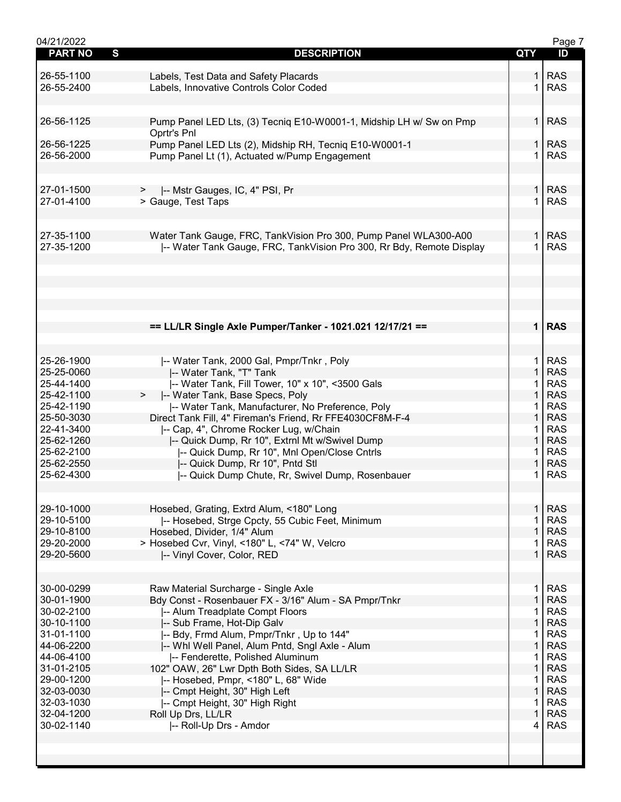| 04/21/2022     |                                                                      |                | Page 7     |
|----------------|----------------------------------------------------------------------|----------------|------------|
| <b>PART NO</b> | S<br><b>DESCRIPTION</b>                                              | QTY            | ID         |
|                |                                                                      |                |            |
| 26-55-1100     | Labels, Test Data and Safety Placards                                |                | <b>RAS</b> |
| 26-55-2400     | Labels, Innovative Controls Color Coded                              |                | <b>RAS</b> |
|                |                                                                      |                |            |
|                |                                                                      |                |            |
| 26-56-1125     | Pump Panel LED Lts, (3) Tecniq E10-W0001-1, Midship LH w/ Sw on Pmp  | $\mathbf{1}$   | <b>RAS</b> |
|                | Oprtr's Pnl                                                          |                |            |
|                |                                                                      |                |            |
| 26-56-1225     | Pump Panel LED Lts (2), Midship RH, Tecniq E10-W0001-1               | 1              | <b>RAS</b> |
| 26-56-2000     | Pump Panel Lt (1), Actuated w/Pump Engagement                        | $\mathbf 1$    | <b>RAS</b> |
|                |                                                                      |                |            |
|                |                                                                      |                |            |
| 27-01-1500     | -- Mstr Gauges, IC, 4" PSI, Pr<br>>                                  | $\mathbf{1}$   | <b>RAS</b> |
| 27-01-4100     | > Gauge, Test Taps                                                   | 1              | <b>RAS</b> |
|                |                                                                      |                |            |
|                |                                                                      |                |            |
| 27-35-1100     | Water Tank Gauge, FRC, TankVision Pro 300, Pump Panel WLA300-A00     | 1 <sup>1</sup> | <b>RAS</b> |
| 27-35-1200     | -- Water Tank Gauge, FRC, TankVision Pro 300, Rr Bdy, Remote Display | $\mathbf 1$    | <b>RAS</b> |
|                |                                                                      |                |            |
|                |                                                                      |                |            |
|                |                                                                      |                |            |
|                |                                                                      |                |            |
|                |                                                                      |                |            |
|                |                                                                      |                |            |
|                |                                                                      |                |            |
|                | == LL/LR Single Axle Pumper/Tanker - 1021.021 12/17/21 ==            |                | $1$ RAS    |
|                |                                                                      |                |            |
|                |                                                                      |                |            |
| 25-26-1900     | -- Water Tank, 2000 Gal, Pmpr/Tnkr, Poly                             | 1.             | <b>RAS</b> |
| 25-25-0060     | -- Water Tank, "T" Tank                                              | $\mathbf{1}$   | <b>RAS</b> |
| 25-44-1400     | -- Water Tank, Fill Tower, 10" x 10", <3500 Gals                     | 1              | <b>RAS</b> |
| 25-42-1100     | -- Water Tank, Base Specs, Poly                                      | $\mathbf{1}$   | <b>RAS</b> |
| 25-42-1190     | -- Water Tank, Manufacturer, No Preference, Poly                     | 1.             | <b>RAS</b> |
| 25-50-3030     | Direct Tank Fill, 4" Fireman's Friend, Rr FFE4030CF8M-F-4            | $\mathbf{1}$   | <b>RAS</b> |
| 22-41-3400     |                                                                      | 1              | <b>RAS</b> |
|                | -- Cap, 4", Chrome Rocker Lug, w/Chain                               |                |            |
| 25-62-1260     | -- Quick Dump, Rr 10", Extrnl Mt w/Swivel Dump                       | $\mathbf{1}$   | <b>RAS</b> |
| 25-62-2100     | -- Quick Dump, Rr 10", Mnl Open/Close Cntrls                         | 1              | <b>RAS</b> |
| 25-62-2550     | -- Quick Dump, Rr 10", Pntd Stl                                      | 1              | <b>RAS</b> |
| 25-62-4300     | -- Quick Dump Chute, Rr, Swivel Dump, Rosenbauer                     | 1              | <b>RAS</b> |
|                |                                                                      |                |            |
|                |                                                                      |                |            |
| 29-10-1000     | Hosebed, Grating, Extrd Alum, <180" Long                             | $\mathbf{1}$   | <b>RAS</b> |
| 29-10-5100     | -- Hosebed, Strge Cpcty, 55 Cubic Feet, Minimum                      | 1              | <b>RAS</b> |
| 29-10-8100     | Hosebed, Divider, 1/4" Alum                                          | 1              | <b>RAS</b> |
| 29-20-2000     | > Hosebed Cvr, Vinyl, <180" L, <74" W, Velcro                        |                | <b>RAS</b> |
| 29-20-5600     | -- Vinyl Cover, Color, RED                                           | $\mathbf{1}$   | <b>RAS</b> |
|                |                                                                      |                |            |
|                |                                                                      |                |            |
| 30-00-0299     | Raw Material Surcharge - Single Axle                                 | 1.             | <b>RAS</b> |
| 30-01-1900     | Bdy Const - Rosenbauer FX - 3/16" Alum - SA Pmpr/Tnkr                | $\mathbf{1}$   | <b>RAS</b> |
| 30-02-2100     | -- Alum Treadplate Compt Floors                                      | 1              | <b>RAS</b> |
|                |                                                                      |                |            |
| 30-10-1100     | -- Sub Frame, Hot-Dip Galv                                           | 1              | <b>RAS</b> |
| 31-01-1100     | -- Bdy, Frmd Alum, Pmpr/Tnkr, Up to 144"                             |                | <b>RAS</b> |
| 44-06-2200     | -- Whl Well Panel, Alum Pntd, Sngl Axle - Alum                       | $\mathbf{1}$   | <b>RAS</b> |
| 44-06-4100     | -- Fenderette, Polished Aluminum                                     | 1              | <b>RAS</b> |
| 31-01-2105     | 102" OAW, 26" Lwr Dpth Both Sides, SA LL/LR                          | $\mathbf{1}$   | <b>RAS</b> |
| 29-00-1200     | -- Hosebed, Pmpr, <180" L, 68" Wide                                  | $\mathbf 1$    | <b>RAS</b> |
| 32-03-0030     | -- Cmpt Height, 30" High Left                                        | $\mathbf{1}$   | <b>RAS</b> |
| 32-03-1030     | -- Cmpt Height, 30" High Right                                       | 1              | <b>RAS</b> |
| 32-04-1200     | Roll Up Drs, LL/LR                                                   | 1              | <b>RAS</b> |
| 30-02-1140     | -- Roll-Up Drs - Amdor                                               | 4              | <b>RAS</b> |
|                |                                                                      |                |            |
|                |                                                                      |                |            |
|                |                                                                      |                |            |
|                |                                                                      |                |            |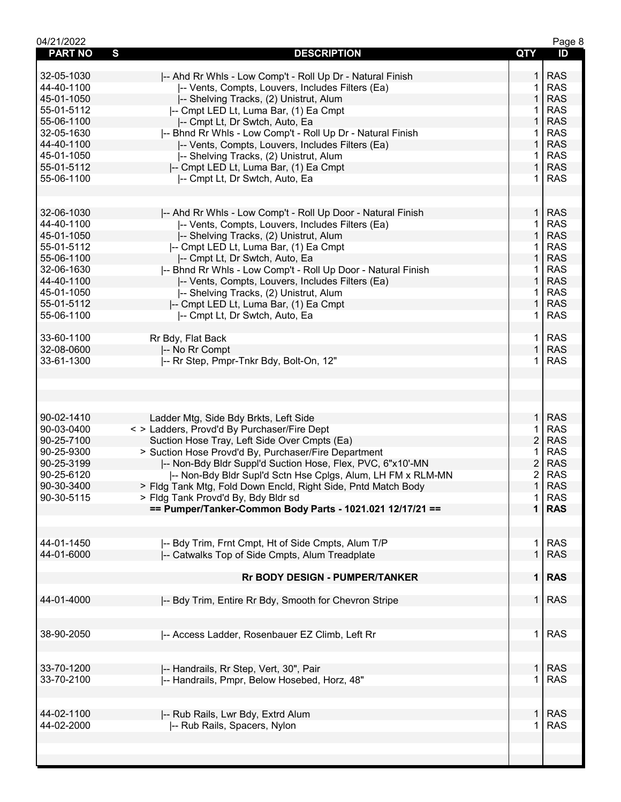| 04/21/2022     |                                                               |                | Page 8     |
|----------------|---------------------------------------------------------------|----------------|------------|
| <b>PART NO</b> | S<br><b>DESCRIPTION</b>                                       | QTY            | ID         |
|                |                                                               |                |            |
| 32-05-1030     | -- Ahd Rr Whls - Low Comp't - Roll Up Dr - Natural Finish     | 1.             | <b>RAS</b> |
| 44-40-1100     | -- Vents, Compts, Louvers, Includes Filters (Ea)              | 1              | <b>RAS</b> |
| 45-01-1050     | -- Shelving Tracks, (2) Unistrut, Alum                        | 1              | <b>RAS</b> |
| 55-01-5112     | -- Cmpt LED Lt, Luma Bar, (1) Ea Cmpt                         | 1              | <b>RAS</b> |
| 55-06-1100     | -- Cmpt Lt, Dr Swtch, Auto, Ea                                | 1              | <b>RAS</b> |
| 32-05-1630     | -- Bhnd Rr Whls - Low Comp't - Roll Up Dr - Natural Finish    | 1              | <b>RAS</b> |
| 44-40-1100     | -- Vents, Compts, Louvers, Includes Filters (Ea)              | $\mathbf 1$    | <b>RAS</b> |
| 45-01-1050     | -- Shelving Tracks, (2) Unistrut, Alum                        | 1              | <b>RAS</b> |
| 55-01-5112     | -- Cmpt LED Lt, Luma Bar, (1) Ea Cmpt                         | $\mathbf{1}$   | <b>RAS</b> |
| 55-06-1100     | -- Cmpt Lt, Dr Swtch, Auto, Ea                                | 1              | <b>RAS</b> |
|                |                                                               |                |            |
|                |                                                               |                |            |
| 32-06-1030     | -- Ahd Rr Whls - Low Comp't - Roll Up Door - Natural Finish   | $\mathbf{1}$   | <b>RAS</b> |
| 44-40-1100     |                                                               | 1.             | <b>RAS</b> |
|                | -- Vents, Compts, Louvers, Includes Filters (Ea)              |                |            |
| 45-01-1050     | -- Shelving Tracks, (2) Unistrut, Alum                        | $\mathbf{1}$   | <b>RAS</b> |
| 55-01-5112     | -- Cmpt LED Lt, Luma Bar, (1) Ea Cmpt                         | 1              | <b>RAS</b> |
| 55-06-1100     | -- Cmpt Lt, Dr Swtch, Auto, Ea                                | 1              | <b>RAS</b> |
| 32-06-1630     | I-- Bhnd Rr Whls - Low Comp't - Roll Up Door - Natural Finish | 1              | <b>RAS</b> |
| 44-40-1100     | -- Vents, Compts, Louvers, Includes Filters (Ea)              | 1              | <b>RAS</b> |
| 45-01-1050     | -- Shelving Tracks, (2) Unistrut, Alum                        | 1              | <b>RAS</b> |
| 55-01-5112     | -- Cmpt LED Lt, Luma Bar, (1) Ea Cmpt                         | 1              | <b>RAS</b> |
| 55-06-1100     | -- Cmpt Lt, Dr Swtch, Auto, Ea                                | 1              | <b>RAS</b> |
|                |                                                               |                |            |
| 33-60-1100     | Rr Bdy, Flat Back                                             | $\mathbf{1}$   | <b>RAS</b> |
| 32-08-0600     | -- No Rr Compt                                                | $\mathbf 1$    | <b>RAS</b> |
| 33-61-1300     |                                                               | 1              | <b>RAS</b> |
|                | -- Rr Step, Pmpr-Tnkr Bdy, Bolt-On, 12"                       |                |            |
|                |                                                               |                |            |
|                |                                                               |                |            |
|                |                                                               |                |            |
|                |                                                               |                |            |
| 90-02-1410     | Ladder Mtg, Side Bdy Brkts, Left Side                         | 1              | <b>RAS</b> |
| 90-03-0400     | < > Ladders, Provd'd By Purchaser/Fire Dept                   | 1              | <b>RAS</b> |
| 90-25-7100     | Suction Hose Tray, Left Side Over Cmpts (Ea)                  | $\overline{c}$ | <b>RAS</b> |
| 90-25-9300     | > Suction Hose Provd'd By, Purchaser/Fire Department          | 1              | <b>RAS</b> |
| 90-25-3199     | -- Non-Bdy Bldr Suppl'd Suction Hose, Flex, PVC, 6"x10'-MN    | $\overline{c}$ | <b>RAS</b> |
| 90-25-6120     | -- Non-Bdy Bldr Supl'd Sctn Hse Cplgs, Alum, LH FM x RLM-MN   | 2              | <b>RAS</b> |
| 90-30-3400     | > Fldg Tank Mtg, Fold Down Encld, Right Side, Pntd Match Body | $\mathbf{1}$   | <b>RAS</b> |
| 90-30-5115     | > Fldg Tank Provd'd By, Bdy Bldr sd                           | 1              | <b>RAS</b> |
|                | == Pumper/Tanker-Common Body Parts - 1021.021 12/17/21 ==     | 1 <sup>1</sup> | <b>RAS</b> |
|                |                                                               |                |            |
|                |                                                               |                |            |
| 44-01-1450     |                                                               | 1.             | <b>RAS</b> |
|                | -- Bdy Trim, Frnt Cmpt, Ht of Side Cmpts, Alum T/P            |                |            |
| 44-01-6000     | -- Catwalks Top of Side Cmpts, Alum Treadplate                | $\mathbf 1$    | <b>RAS</b> |
|                |                                                               |                |            |
|                | <b>Rr BODY DESIGN - PUMPER/TANKER</b>                         |                | $1$ RAS    |
|                |                                                               |                |            |
| 44-01-4000     | -- Bdy Trim, Entire Rr Bdy, Smooth for Chevron Stripe         | 1 <sup>1</sup> | <b>RAS</b> |
|                |                                                               |                |            |
|                |                                                               |                |            |
| 38-90-2050     | -- Access Ladder, Rosenbauer EZ Climb, Left Rr                | $\mathbf{1}$   | <b>RAS</b> |
|                |                                                               |                |            |
|                |                                                               |                |            |
| 33-70-1200     | -- Handrails, Rr Step, Vert, 30", Pair                        | 1              | <b>RAS</b> |
| 33-70-2100     | I-- Handrails, Pmpr, Below Hosebed, Horz, 48"                 | 1              | <b>RAS</b> |
|                |                                                               |                |            |
|                |                                                               |                |            |
| 44-02-1100     | -- Rub Rails, Lwr Bdy, Extrd Alum                             | $\mathbf{1}$   | <b>RAS</b> |
| 44-02-2000     |                                                               | 1              | <b>RAS</b> |
|                | -- Rub Rails, Spacers, Nylon                                  |                |            |
|                |                                                               |                |            |
|                |                                                               |                |            |
|                |                                                               |                |            |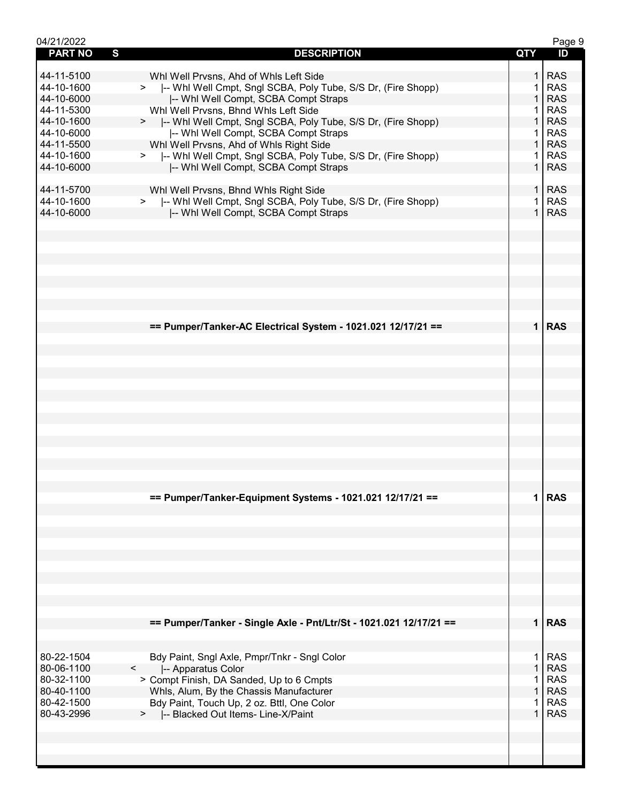| 04/21/2022               |                                                                                                          |              | Page 9                   |
|--------------------------|----------------------------------------------------------------------------------------------------------|--------------|--------------------------|
| <b>PART NO</b>           | S<br><b>DESCRIPTION</b>                                                                                  | <b>QTY</b>   | ID                       |
|                          |                                                                                                          |              |                          |
| 44-11-5100               | Whl Well Prvsns, Ahd of Whls Left Side                                                                   | 1.           | <b>RAS</b>               |
| 44-10-1600<br>44-10-6000 | >  -- Whi Well Cmpt, Sngl SCBA, Poly Tube, S/S Dr, (Fire Shopp)                                          | 1            | <b>RAS</b><br><b>RAS</b> |
| 44-11-5300               | -- Whi Well Compt, SCBA Compt Straps                                                                     |              | <b>RAS</b>               |
| 44-10-1600               | Whl Well Prvsns, Bhnd Whls Left Side                                                                     | $\mathbf 1$  | <b>RAS</b>               |
| 44-10-6000               | >  -- Whl Well Cmpt, Sngl SCBA, Poly Tube, S/S Dr, (Fire Shopp)<br>I-- Whi Well Compt, SCBA Compt Straps | 1            | <b>RAS</b>               |
| 44-11-5500               | Whl Well Prvsns, Ahd of Whls Right Side                                                                  | $\mathbf{1}$ | <b>RAS</b>               |
| 44-10-1600               | >  -- Whi Well Cmpt, Sngl SCBA, Poly Tube, S/S Dr, (Fire Shopp)                                          | 1.           | <b>RAS</b>               |
| 44-10-6000               | -- Whi Well Compt, SCBA Compt Straps                                                                     | 1            | <b>RAS</b>               |
|                          |                                                                                                          |              |                          |
| 44-11-5700               | Whl Well Prvsns, Bhnd Whls Right Side                                                                    | $\mathbf{1}$ | <b>RAS</b>               |
| 44-10-1600               | -- Whl Well Cmpt, Sngl SCBA, Poly Tube, S/S Dr, (Fire Shopp)<br>>                                        | 1            | <b>RAS</b>               |
| 44-10-6000               | -- Whi Well Compt, SCBA Compt Straps                                                                     | $\mathbf 1$  | <b>RAS</b>               |
|                          |                                                                                                          |              |                          |
|                          |                                                                                                          |              |                          |
|                          |                                                                                                          |              |                          |
|                          |                                                                                                          |              |                          |
|                          |                                                                                                          |              |                          |
|                          |                                                                                                          |              |                          |
|                          |                                                                                                          |              |                          |
|                          |                                                                                                          |              |                          |
|                          |                                                                                                          |              |                          |
|                          | == Pumper/Tanker-AC Electrical System - 1021.021 12/17/21 ==                                             |              | $1$ RAS                  |
|                          |                                                                                                          |              |                          |
|                          |                                                                                                          |              |                          |
|                          |                                                                                                          |              |                          |
|                          |                                                                                                          |              |                          |
|                          |                                                                                                          |              |                          |
|                          |                                                                                                          |              |                          |
|                          |                                                                                                          |              |                          |
|                          |                                                                                                          |              |                          |
|                          |                                                                                                          |              |                          |
|                          |                                                                                                          |              |                          |
|                          |                                                                                                          |              |                          |
|                          |                                                                                                          |              |                          |
|                          |                                                                                                          |              |                          |
|                          |                                                                                                          |              |                          |
|                          | == Pumper/Tanker-Equipment Systems - 1021.021 12/17/21 ==                                                | 1            | <b>RAS</b>               |
|                          |                                                                                                          |              |                          |
|                          |                                                                                                          |              |                          |
|                          |                                                                                                          |              |                          |
|                          |                                                                                                          |              |                          |
|                          |                                                                                                          |              |                          |
|                          |                                                                                                          |              |                          |
|                          |                                                                                                          |              |                          |
|                          |                                                                                                          |              |                          |
|                          |                                                                                                          |              |                          |
|                          |                                                                                                          |              | $1$ RAS                  |
|                          | == Pumper/Tanker - Single Axle - Pnt/Ltr/St - 1021.021 12/17/21 ==                                       |              |                          |
|                          |                                                                                                          |              |                          |
| 80-22-1504               | Bdy Paint, Sngl Axle, Pmpr/Tnkr - Sngl Color                                                             | 1            | <b>RAS</b>               |
| 80-06-1100               | -- Apparatus Color<br>$\lt$                                                                              | $\mathbf{1}$ | <b>RAS</b>               |
| 80-32-1100               | > Compt Finish, DA Sanded, Up to 6 Cmpts                                                                 | 1            | <b>RAS</b>               |
| 80-40-1100               | Whls, Alum, By the Chassis Manufacturer                                                                  | $\mathbf{1}$ | <b>RAS</b>               |
| 80-42-1500               | Bdy Paint, Touch Up, 2 oz. Bttl, One Color                                                               | 1            | <b>RAS</b>               |
| 80-43-2996               | >  -- Blacked Out Items- Line-X/Paint                                                                    | $\mathbf{1}$ | <b>RAS</b>               |
|                          |                                                                                                          |              |                          |
|                          |                                                                                                          |              |                          |
|                          |                                                                                                          |              |                          |
|                          |                                                                                                          |              |                          |
|                          |                                                                                                          |              |                          |